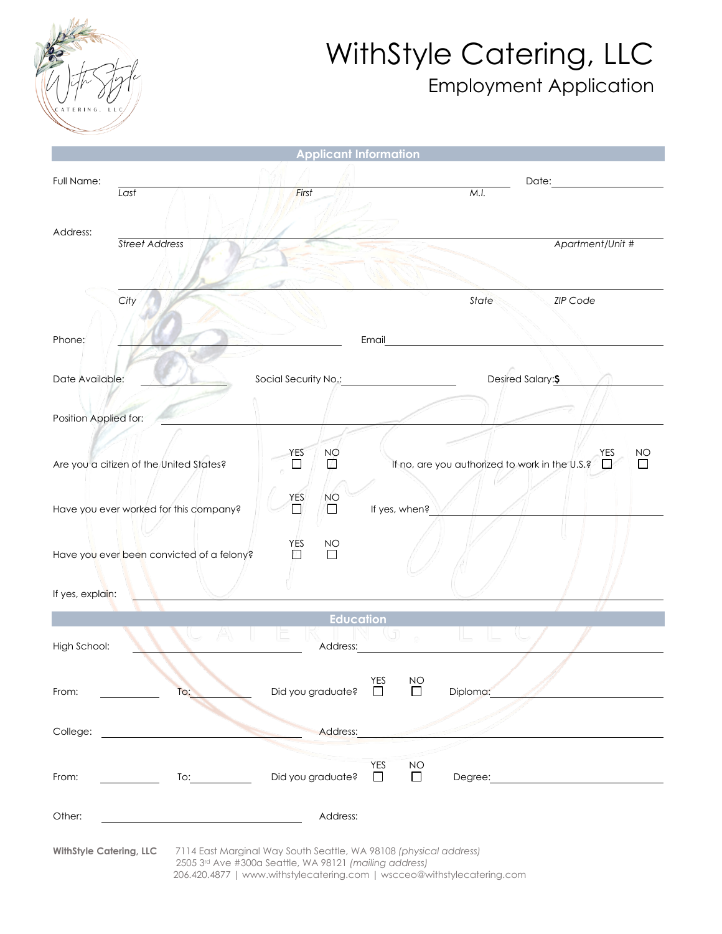

## WithStyle Catering, LLC Employment Application

|                                           | <b>Applicant Information</b>                           |                                                                                                                                              |  |  |  |
|-------------------------------------------|--------------------------------------------------------|----------------------------------------------------------------------------------------------------------------------------------------------|--|--|--|
| Full Name:<br>Last                        | First                                                  | M.I.                                                                                                                                         |  |  |  |
|                                           |                                                        |                                                                                                                                              |  |  |  |
| Address:<br><b>Street Address</b>         |                                                        | Apartment/Unit #                                                                                                                             |  |  |  |
|                                           |                                                        |                                                                                                                                              |  |  |  |
| City                                      |                                                        | State<br><b>ZIP Code</b>                                                                                                                     |  |  |  |
| Phone:                                    |                                                        | Email                                                                                                                                        |  |  |  |
| Date Available:                           | Social Security No.:                                   | Desired Salary: \$                                                                                                                           |  |  |  |
| Position Applied for:                     |                                                        |                                                                                                                                              |  |  |  |
| Are you a citizen of the United States?   | YES<br>NO                                              | YES<br>NO<br>If no, are you authorized to work in the U.S.?                                                                                  |  |  |  |
| Have you ever worked for this company?    | <b>YES</b><br><b>NO</b><br>П<br>П                      | If yes, when?                                                                                                                                |  |  |  |
| Have you ever been convicted of a felony? | YES<br><b>NO</b><br>П                                  |                                                                                                                                              |  |  |  |
| If yes, explain:                          |                                                        |                                                                                                                                              |  |  |  |
| <b>Education</b>                          |                                                        |                                                                                                                                              |  |  |  |
| High School:                              | Address:                                               |                                                                                                                                              |  |  |  |
| To:<br>From:                              | Did you graduate?                                      | YES<br><b>NO</b><br>$\Box$<br>□<br>Diploma:                                                                                                  |  |  |  |
| College:                                  | Address:                                               |                                                                                                                                              |  |  |  |
| From:<br>$\overline{I}$ o:                | Did you graduate?                                      | <b>YES</b><br><b>NO</b><br>$\Box$<br>$\Box$<br>Degree: <u>Degree</u>                                                                         |  |  |  |
| Other:                                    | Address:                                               |                                                                                                                                              |  |  |  |
| <b>WithStyle Catering, LLC</b>            | 2505 3rd Ave #300a Seattle, WA 98121 (mailing address) | 7114 East Marginal Way South Seattle, WA 98108 (physical address)<br>206.420.4877   www.withstylecatering.com   wscceo@withstylecatering.com |  |  |  |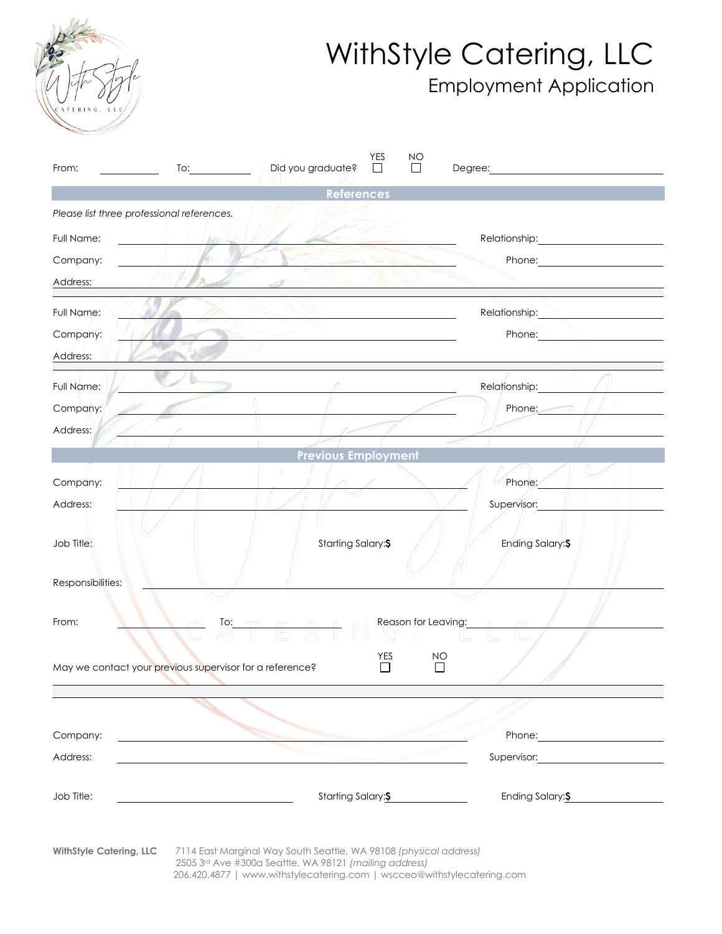

## WithStyle Catering, LLC Employment Application

| From:                          | $\overline{1}$ o: $\overline{\qquad \qquad }$            | YES<br>ΝO<br>Did you graduate?<br>П                                                                                                                                                                                               | Degree: the contract of the contract of the contract of the contract of the contract of the contract of the contract of the contract of the contract of the contract of the contract of the contract of the contract of the co       |
|--------------------------------|----------------------------------------------------------|-----------------------------------------------------------------------------------------------------------------------------------------------------------------------------------------------------------------------------------|--------------------------------------------------------------------------------------------------------------------------------------------------------------------------------------------------------------------------------------|
|                                |                                                          | References                                                                                                                                                                                                                        |                                                                                                                                                                                                                                      |
|                                | Please list three professional references.               |                                                                                                                                                                                                                                   |                                                                                                                                                                                                                                      |
| Full Name:                     |                                                          |                                                                                                                                                                                                                                   | Relationship: 2000                                                                                                                                                                                                                   |
| Company:                       |                                                          |                                                                                                                                                                                                                                   |                                                                                                                                                                                                                                      |
| Address:                       |                                                          |                                                                                                                                                                                                                                   |                                                                                                                                                                                                                                      |
| Full Name:                     |                                                          | and the state of the state of the state of the state of the state of the state of the state of the state of the                                                                                                                   |                                                                                                                                                                                                                                      |
| Company:                       |                                                          |                                                                                                                                                                                                                                   | Phone: Management of the Management of the Management of the Management of the Management of the Management of the Management of the Management of the Management of the Management of the Management of the Management of the       |
| Address:                       |                                                          |                                                                                                                                                                                                                                   |                                                                                                                                                                                                                                      |
| Full Name:                     |                                                          | $\mathbb{R}$ . The contract of the contract of the contract of the contract of the contract of the contract of the contract of the contract of the contract of the contract of the contract of the contract of the contract of th | Relationship: ///                                                                                                                                                                                                                    |
| Company:                       |                                                          |                                                                                                                                                                                                                                   | Phone: $\sqrt{ }$                                                                                                                                                                                                                    |
| Address:                       |                                                          |                                                                                                                                                                                                                                   |                                                                                                                                                                                                                                      |
|                                |                                                          | <b>Previous Employment</b>                                                                                                                                                                                                        |                                                                                                                                                                                                                                      |
| Company:                       |                                                          |                                                                                                                                                                                                                                   | Phone: The Phone of the Second State of the Second State and Second State and State and State and State and State and State and State and State and State and State and State and State and State and State and State and Stat       |
| Address:                       |                                                          |                                                                                                                                                                                                                                   | Supervisor: <b>All Accords</b>                                                                                                                                                                                                       |
| Job Title:                     |                                                          | Starting Salary:\$                                                                                                                                                                                                                | Ending Salary: \$                                                                                                                                                                                                                    |
| Responsibilities:              |                                                          |                                                                                                                                                                                                                                   |                                                                                                                                                                                                                                      |
| From:                          |                                                          | $\overline{a}$ To: $\overline{a}$ $\overline{a}$ $\overline{a}$ $\overline{a}$ $\overline{a}$                                                                                                                                     | Reason for Leaving: Network                                                                                                                                                                                                          |
|                                | May we contact your previous supervisor for a reference? | <b>YES</b>                                                                                                                                                                                                                        | NO<br>$\mathcal{L}$                                                                                                                                                                                                                  |
|                                |                                                          |                                                                                                                                                                                                                                   |                                                                                                                                                                                                                                      |
| Company:                       |                                                          |                                                                                                                                                                                                                                   | Phone: <u>contract and the set of the set of the set of the set of the set of the set of the set of the set of the set of the set of the set of the set of the set of the set of the set of the set of the set of the set of the</u> |
| Address:                       |                                                          |                                                                                                                                                                                                                                   | Supervisor: Supervisor:                                                                                                                                                                                                              |
| Job Title:                     |                                                          | Starting Salary: \$                                                                                                                                                                                                               | Ending Salary: \$                                                                                                                                                                                                                    |
| <b>WithStyle Catering, LLC</b> |                                                          | 7114 East Marginal Way South Seattle, WA 98108 (physical address)<br>2505 3rd Ave #300a Seattle, WA 98121 (mailing address)<br>206.420.4877   www.withstylecatering.com   wscceo@withstylecatering.com                            |                                                                                                                                                                                                                                      |